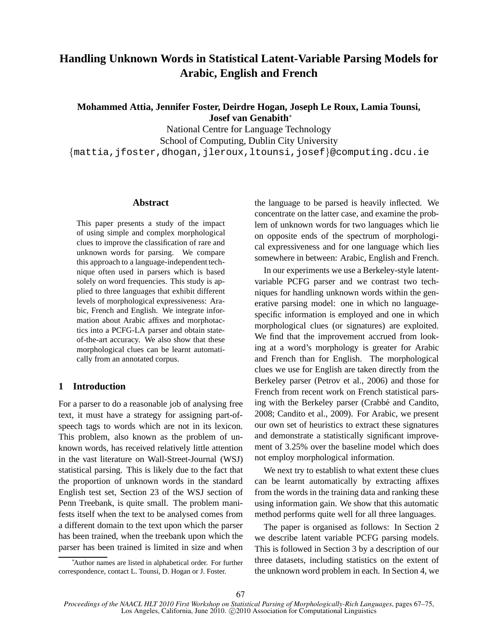# **Handling Unknown Words in Statistical Latent-Variable Parsing Models for Arabic, English and French**

**Mohammed Attia, Jennifer Foster, Deirdre Hogan, Joseph Le Roux, Lamia Tounsi, Josef van Genabith**<sup>∗</sup>

National Centre for Language Technology School of Computing, Dublin City University {mattia,jfoster,dhogan,jleroux,ltounsi,josef}@computing.dcu.ie

# **Abstract**

This paper presents a study of the impact of using simple and complex morphological clues to improve the classification of rare and unknown words for parsing. We compare this approach to a language-independent technique often used in parsers which is based solely on word frequencies. This study is applied to three languages that exhibit different levels of morphological expressiveness: Arabic, French and English. We integrate information about Arabic affixes and morphotactics into a PCFG-LA parser and obtain stateof-the-art accuracy. We also show that these morphological clues can be learnt automatically from an annotated corpus.

# **1 Introduction**

For a parser to do a reasonable job of analysing free text, it must have a strategy for assigning part-ofspeech tags to words which are not in its lexicon. This problem, also known as the problem of unknown words, has received relatively little attention in the vast literature on Wall-Street-Journal (WSJ) statistical parsing. This is likely due to the fact that the proportion of unknown words in the standard English test set, Section 23 of the WSJ section of Penn Treebank, is quite small. The problem manifests itself when the text to be analysed comes from a different domain to the text upon which the parser has been trained, when the treebank upon which the parser has been trained is limited in size and when the language to be parsed is heavily inflected. We concentrate on the latter case, and examine the problem of unknown words for two languages which lie on opposite ends of the spectrum of morphological expressiveness and for one language which lies somewhere in between: Arabic, English and French.

In our experiments we use a Berkeley-style latentvariable PCFG parser and we contrast two techniques for handling unknown words within the generative parsing model: one in which no languagespecific information is employed and one in which morphological clues (or signatures) are exploited. We find that the improvement accrued from looking at a word's morphology is greater for Arabic and French than for English. The morphological clues we use for English are taken directly from the Berkeley parser (Petrov et al., 2006) and those for French from recent work on French statistical parsing with the Berkeley parser (Crabbé and Candito, 2008; Candito et al., 2009). For Arabic, we present our own set of heuristics to extract these signatures and demonstrate a statistically significant improvement of 3.25% over the baseline model which does not employ morphological information.

We next try to establish to what extent these clues can be learnt automatically by extracting affixes from the words in the training data and ranking these using information gain. We show that this automatic method performs quite well for all three languages.

The paper is organised as follows: In Section 2 we describe latent variable PCFG parsing models. This is followed in Section 3 by a description of our three datasets, including statistics on the extent of the unknown word problem in each. In Section 4, we

<sup>∗</sup>Author names are listed in alphabetical order. For further correspondence, contact L. Tounsi, D. Hogan or J. Foster.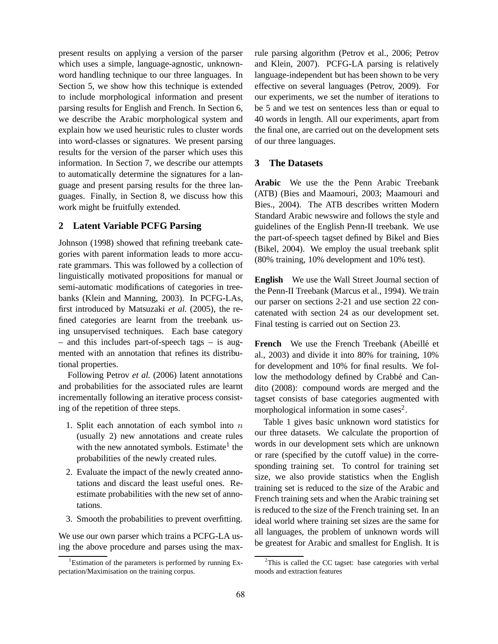present results on applying a version of the parser which uses a simple, language-agnostic, unknownword handling technique to our three languages. In Section 5, we show how this technique is extended to include morphological information and present parsing results for English and French. In Section 6, we describe the Arabic morphological system and explain how we used heuristic rules to cluster words into word-classes or signatures. We present parsing results for the version of the parser which uses this information. In Section 7, we describe our attempts to automatically determine the signatures for a language and present parsing results for the three languages. Finally, in Section 8, we discuss how this work might be fruitfully extended.

# **2 Latent Variable PCFG Parsing**

Johnson (1998) showed that refining treebank categories with parent information leads to more accurate grammars. This was followed by a collection of linguistically motivated propositions for manual or semi-automatic modifications of categories in treebanks (Klein and Manning, 2003). In PCFG-LAs, first introduced by Matsuzaki *et al.* (2005), the refined categories are learnt from the treebank using unsupervised techniques. Each base category – and this includes part-of-speech tags – is augmented with an annotation that refines its distributional properties.

Following Petrov *et al.* (2006) latent annotations and probabilities for the associated rules are learnt incrementally following an iterative process consisting of the repetition of three steps.

- 1. Split each annotation of each symbol into  $n$ (usually 2) new annotations and create rules with the new annotated symbols. Estimate<sup>1</sup> the probabilities of the newly created rules.
- 2. Evaluate the impact of the newly created annotations and discard the least useful ones. Reestimate probabilities with the new set of annotations.
- 3. Smooth the probabilities to prevent overfitting.

We use our own parser which trains a PCFG-LA using the above procedure and parses using the maxrule parsing algorithm (Petrov et al., 2006; Petrov and Klein, 2007). PCFG-LA parsing is relatively language-independent but has been shown to be very effective on several languages (Petrov, 2009). For our experiments, we set the number of iterations to be 5 and we test on sentences less than or equal to 40 words in length. All our experiments, apart from the final one, are carried out on the development sets of our three languages.

## **3 The Datasets**

**Arabic** We use the the Penn Arabic Treebank (ATB) (Bies and Maamouri, 2003; Maamouri and Bies., 2004). The ATB describes written Modern Standard Arabic newswire and follows the style and guidelines of the English Penn-II treebank. We use the part-of-speech tagset defined by Bikel and Bies (Bikel, 2004). We employ the usual treebank split (80% training, 10% development and 10% test).

**English** We use the Wall Street Journal section of the Penn-II Treebank (Marcus et al., 1994). We train our parser on sections 2-21 and use section 22 concatenated with section 24 as our development set. Final testing is carried out on Section 23.

French We use the French Treebank (Abeillé et al., 2003) and divide it into 80% for training, 10% for development and 10% for final results. We follow the methodology defined by Crabbé and Candito (2008): compound words are merged and the tagset consists of base categories augmented with morphological information in some cases<sup>2</sup>.

Table 1 gives basic unknown word statistics for our three datasets. We calculate the proportion of words in our development sets which are unknown or rare (specified by the cutoff value) in the corresponding training set. To control for training set size, we also provide statistics when the English training set is reduced to the size of the Arabic and French training sets and when the Arabic training set is reduced to the size of the French training set. In an ideal world where training set sizes are the same for all languages, the problem of unknown words will be greatest for Arabic and smallest for English. It is

<sup>&</sup>lt;sup>1</sup>Estimation of the parameters is performed by running Expectation/Maximisation on the training corpus.

 $2$ This is called the CC tagset: base categories with verbal moods and extraction features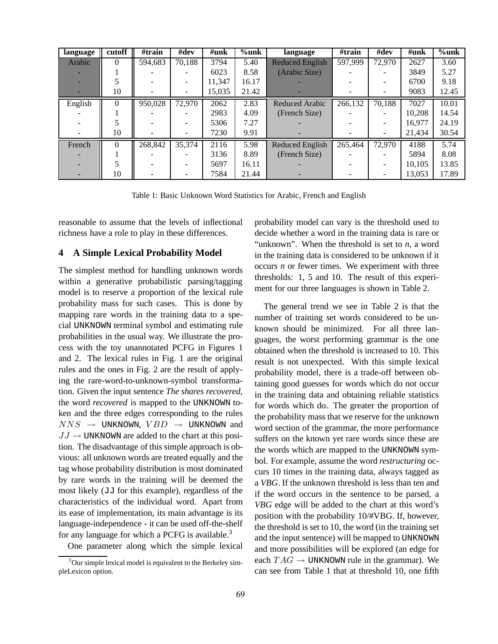| language | cutoff   | #train  | #dev   | $\#\textbf{unk}$ | $%$ unk | language               | #train  | #dev   | #unk   | $%$ unk |
|----------|----------|---------|--------|------------------|---------|------------------------|---------|--------|--------|---------|
| Arabic   | 0        | 594,683 | 70,188 | 3794             | 5.40    | <b>Reduced English</b> | 597,999 | 72,970 | 2627   | 3.60    |
|          |          |         |        | 6023             | 8.58    | (Arabic Size)          |         |        | 3849   | 5.27    |
|          |          |         |        | 11.347           | 16.17   |                        |         |        | 6700   | 9.18    |
|          | 10       |         |        | 15,035           | 21.42   |                        |         |        | 9083   | 12.45   |
| English  | $\Omega$ | 950,028 | 72,970 | 2062             | 2.83    | <b>Reduced Arabic</b>  | 266,132 | 70,188 | 7027   | 10.01   |
|          |          |         |        | 2983             | 4.09    | (French Size)          |         |        | 10.208 | 14.54   |
|          |          |         |        | 5306             | 7.27    |                        |         |        | 16.977 | 24.19   |
|          | 10       |         |        | 7230             | 9.91    |                        |         | -      | 21,434 | 30.54   |
| French   | $\theta$ | 268,842 | 35,374 | 2116             | 5.98    | Reduced English        | 265,464 | 72,970 | 4188   | 5.74    |
|          |          |         |        | 3136             | 8.89    | (French Size)          |         |        | 5894   | 8.08    |
|          |          |         |        | 5697             | 16.11   |                        |         |        | 10.105 | 13.85   |
|          | 10       |         |        | 7584             | 21.44   |                        |         |        | 13,053 | 17.89   |

Table 1: Basic Unknown Word Statistics for Arabic, French and English

reasonable to assume that the levels of inflectional richness have a role to play in these differences.

## **4 A Simple Lexical Probability Model**

The simplest method for handling unknown words within a generative probabilistic parsing/tagging model is to reserve a proportion of the lexical rule probability mass for such cases. This is done by mapping rare words in the training data to a special UNKNOWN terminal symbol and estimating rule probabilities in the usual way. We illustrate the process with the toy unannotated PCFG in Figures 1 and 2. The lexical rules in Fig. 1 are the original rules and the ones in Fig. 2 are the result of applying the rare-word-to-unknown-symbol transformation. Given the input sentence *The shares recovered*, the word *recovered* is mapped to the UNKNOWN token and the three edges corresponding to the rules  $NNS \rightarrow$  UNKNOWN,  $VBD \rightarrow$  UNKNOWN and  $JJ \rightarrow UNKNOWN$  are added to the chart at this position. The disadvantage of this simple approach is obvious: all unknown words are treated equally and the tag whose probability distribution is most dominated by rare words in the training will be deemed the most likely (JJ for this example), regardless of the characteristics of the individual word. Apart from its ease of implementation, its main advantage is its language-independence - it can be used off-the-shelf for any language for which a PCFG is available.<sup>3</sup>

One parameter along which the simple lexical

probability model can vary is the threshold used to decide whether a word in the training data is rare or "unknown". When the threshold is set to *n*, a word in the training data is considered to be unknown if it occurs *n* or fewer times. We experiment with three thresholds: 1, 5 and 10. The result of this experiment for our three languages is shown in Table 2.

The general trend we see in Table 2 is that the number of training set words considered to be unknown should be minimized. For all three languages, the worst performing grammar is the one obtained when the threshold is increased to 10. This result is not unexpected. With this simple lexical probability model, there is a trade-off between obtaining good guesses for words which do not occur in the training data and obtaining reliable statistics for words which do. The greater the proportion of the probability mass that we reserve for the unknown word section of the grammar, the more performance suffers on the known yet rare words since these are the words which are mapped to the UNKNOWN symbol. For example, assume the word *restructuring* occurs 10 times in the training data, always tagged as a *VBG*. If the unknown threshold is less than ten and if the word occurs in the sentence to be parsed, a *VBG* edge will be added to the chart at this word's position with the probability 10/#VBG. If, however, the threshold is set to 10, the word (in the training set and the input sentence) will be mapped to UNKNOWN and more possibilities will be explored (an edge for each  $TAG \rightarrow UNKNOWN$  rule in the grammar). We can see from Table 1 that at threshold 10, one fifth

 $3$ Our simple lexical model is equivalent to the Berkeley simpleLexicon option.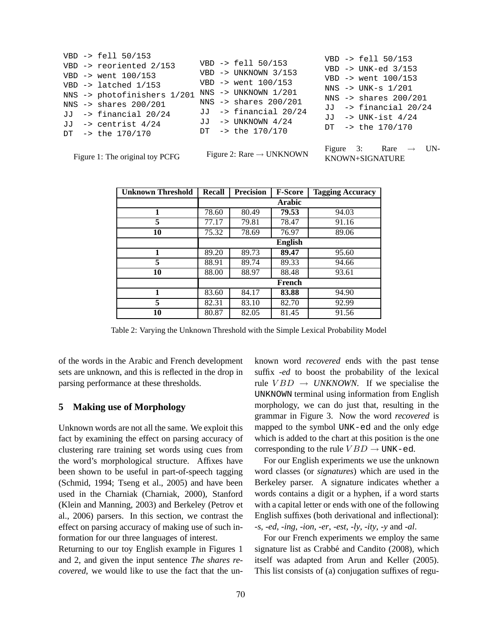|  | Figure 1: The original toy PCFG   |  | Figure 2: Rare $\rightarrow$ UNKNOWN |  | Figure 3: Rare $\rightarrow$ UN-<br>KNOWN+SIGNATURE |  |
|--|-----------------------------------|--|--------------------------------------|--|-----------------------------------------------------|--|
|  | DT $-$ the $170/170$              |  | DT $\rightarrow$ the 170/170         |  |                                                     |  |
|  | JJ $\rightarrow$ centrist 4/24    |  | JJ -> UNKNOWN 4/24                   |  | $DT - > the 170/170$                                |  |
|  | $JJ$ -> financial $20/24$         |  | $JJ$ -> financial $20/24$            |  | JJ $\rightarrow$ UNK-ist 4/24                       |  |
|  | NNS $\rightarrow$ shares 200/201  |  | NNS $\rightarrow$ shares 200/201     |  | $JJ$ -> financial $20/24$                           |  |
|  | NNS -> photofinishers 1/201       |  | $NNS$ -> UNKNOWN $1/201$             |  | NNS $\rightarrow$ shares 200/201                    |  |
|  | VBD $\rightarrow$ latched $1/153$ |  | $VBD \rightarrow went 100/153$       |  | $NNS \rightarrow UNK-S 1/201$                       |  |
|  | VBD $\rightarrow$ went $100/153$  |  | VBD $\rightarrow$ UNKNOWN 3/153      |  | VBD $\rightarrow$ went $100/153$                    |  |
|  | VBD -> reoriented 2/153           |  | $VBD \rightarrow fell 50/153$        |  | VBD $\rightarrow$ UNK-ed 3/153                      |  |
|  | $VBD$ -> fell $50/153$            |  |                                      |  | $VBD \rightarrow fell 50/153$                       |  |

| <b>Unknown Threshold</b> | <b>Recall</b> | <b>Precision</b> | <b>F-Score</b> | <b>Tagging Accuracy</b> |
|--------------------------|---------------|------------------|----------------|-------------------------|
|                          |               |                  | Arabic         |                         |
| 1                        | 78.60         | 80.49            | 79.53          | 94.03                   |
| 5                        | 77.17         | 79.81            | 78.47          | 91.16                   |
| 10                       | 75.32         | 78.69            | 76.97          | 89.06                   |
|                          |               |                  | <b>English</b> |                         |
| 1                        | 89.20         | 89.73            | 89.47          | 95.60                   |
| 5                        | 88.91         | 89.74            | 89.33          | 94.66                   |
| 10                       | 88.00         | 88.97            | 88.48          | 93.61                   |
|                          |               |                  | French         |                         |
| 1                        | 83.60         | 84.17            | 83.88          | 94.90                   |
| 5                        | 82.31         | 83.10            | 82.70          | 92.99                   |
| 10                       | 80.87         | 82.05            | 81.45          | 91.56                   |

Table 2: Varying the Unknown Threshold with the Simple Lexical Probability Model

of the words in the Arabic and French development sets are unknown, and this is reflected in the drop in parsing performance at these thresholds.

# **5 Making use of Morphology**

Unknown words are not all the same. We exploit this fact by examining the effect on parsing accuracy of clustering rare training set words using cues from the word's morphological structure. Affixes have been shown to be useful in part-of-speech tagging (Schmid, 1994; Tseng et al., 2005) and have been used in the Charniak (Charniak, 2000), Stanford (Klein and Manning, 2003) and Berkeley (Petrov et al., 2006) parsers. In this section, we contrast the effect on parsing accuracy of making use of such information for our three languages of interest.

Returning to our toy English example in Figures 1 and 2, and given the input sentence *The shares recovered*, we would like to use the fact that the unknown word *recovered* ends with the past tense suffix *-ed* to boost the probability of the lexical rule  $VBD \rightarrow UNKNOWN$ . If we specialise the UNKNOWN terminal using information from English morphology, we can do just that, resulting in the grammar in Figure 3. Now the word *recovered* is mapped to the symbol UNK-ed and the only edge which is added to the chart at this position is the one corresponding to the rule  $VBD \rightarrow UNK-\text{ed}.$ 

For our English experiments we use the unknown word classes (or *signatures*) which are used in the Berkeley parser. A signature indicates whether a words contains a digit or a hyphen, if a word starts with a capital letter or ends with one of the following English suffixes (both derivational and inflectional): *-s*, *-ed*, *-ing*, *-ion*, *-er*, *-est*, *-ly*, *-ity*, *-y* and *-al*.

For our French experiments we employ the same signature list as Crabbé and Candito (2008), which itself was adapted from Arun and Keller (2005). This list consists of (a) conjugation suffixes of regu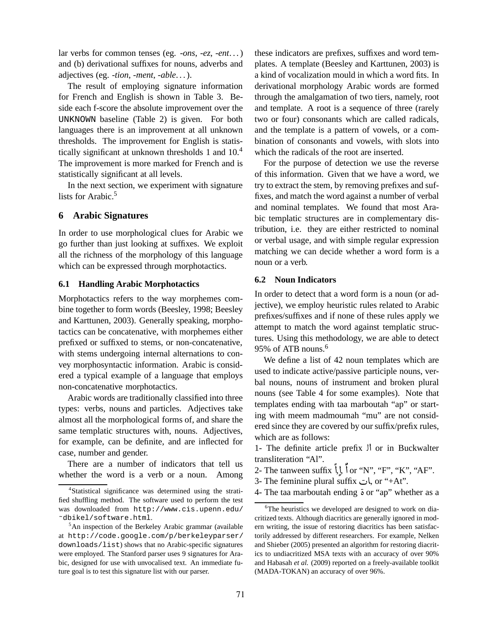lar verbs for common tenses (eg. *-ons*, *-ez*, *-ent*. . . ) and (b) derivational suffixes for nouns, adverbs and adjectives (eg. *-tion*, *-ment*, *-able*. . . ).

The result of employing signature information for French and English is shown in Table 3. Beside each f-score the absolute improvement over the UNKNOWN baseline (Table 2) is given. For both languages there is an improvement at all unknown thresholds. The improvement for English is statistically significant at unknown thresholds 1 and 10.<sup>4</sup> The improvement is more marked for French and is statistically significant at all levels.

In the next section, we experiment with signature lists for Arabic.<sup>5</sup>

## **6 Arabic Signatures**

In order to use morphological clues for Arabic we go further than just looking at suffixes. We exploit all the richness of the morphology of this language which can be expressed through morphotactics.

#### **6.1 Handling Arabic Morphotactics**

Morphotactics refers to the way morphemes combine together to form words (Beesley, 1998; Beesley and Karttunen, 2003). Generally speaking, morphotactics can be concatenative, with morphemes either prefixed or suffixed to stems, or non-concatenative, with stems undergoing internal alternations to convey morphosyntactic information. Arabic is considered a typical example of a language that employs non-concatenative morphotactics.

Arabic words are traditionally classified into three types: verbs, nouns and particles. Adjectives take almost all the morphological forms of, and share the same templatic structures with, nouns. Adjectives, for example, can be definite, and are inflected for case, number and gender.

There are a number of indicators that tell us whether the word is a verb or a noun. Among these indicators are prefixes, suffixes and word templates. A template (Beesley and Karttunen, 2003) is a kind of vocalization mould in which a word fits. In derivational morphology Arabic words are formed through the amalgamation of two tiers, namely, root and template. A root is a sequence of three (rarely two or four) consonants which are called radicals, and the template is a pattern of vowels, or a combination of consonants and vowels, with slots into which the radicals of the root are inserted.

For the purpose of detection we use the reverse of this information. Given that we have a word, we try to extract the stem, by removing prefixes and suffixes, and match the word against a number of verbal and nominal templates. We found that most Arabic templatic structures are in complementary distribution, i.e. they are either restricted to nominal or verbal usage, and with simple regular expression matching we can decide whether a word form is a noun or a verb.

# **6.2 Noun Indicators**

In order to detect that a word form is a noun (or adjective), we employ heuristic rules related to Arabic prefixes/suffixes and if none of these rules apply we attempt to match the word against templatic structures. Using this methodology, we are able to detect 95% of ATB nouns.<sup>6</sup>

We define a list of 42 noun templates which are used to indicate active/passive participle nouns, verbal nouns, nouns of instrument and broken plural nouns (see Table 4 for some examples). Note that templates ending with taa marboutah "ap" or starting with meem madmoumah "mu" are not considered since they are covered by our suffix/prefix rules, which are as follows:

1- The definite article prefix  $\mathcal{V}$  or in Buckwalter transliteration "Al".

- 2- The tanween suffix  $\int_1 \int_2 \int_1^2$  or "N", "F", "K", "AF". s
- 3- The feminine plural suffix أت, or "+At".
- 4- The taa marboutah ending <sup>è</sup> or "ap" whether as a

<sup>4</sup>Statistical significance was determined using the stratified shuffling method. The software used to perform the test was downloaded from http://www.cis.upenn.edu/ ˜dbikel/software.html.

<sup>5</sup>An inspection of the Berkeley Arabic grammar (available at http://code.google.com/p/berkeleyparser/ downloads/list) shows that no Arabic-specific signatures were employed. The Stanford parser uses 9 signatures for Arabic, designed for use with unvocalised text. An immediate future goal is to test this signature list with our parser.

<sup>&</sup>lt;sup>6</sup>The heuristics we developed are designed to work on diacritized texts. Although diacritics are generally ignored in modern writing, the issue of restoring diacritics has been satisfactorily addressed by different researchers. For example, Nelken and Shieber (2005) presented an algorithm for restoring diacritics to undiacritized MSA texts with an accuracy of over 90% and Habasah et al. (2009) reported on a freely-available toolkit (MADA-TOKAN) an accuracy of over 96%.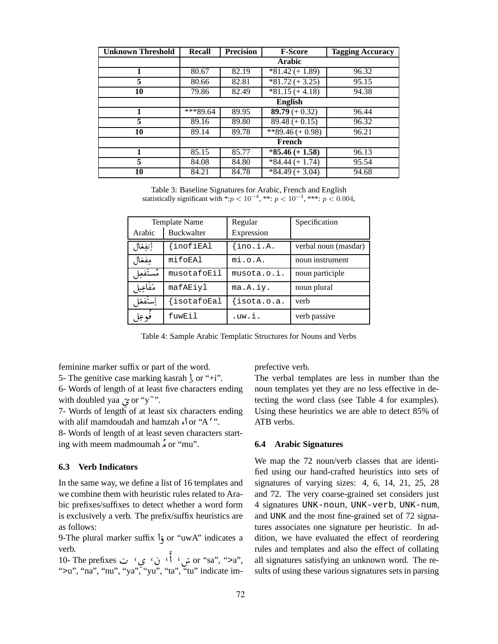| <b>Unknown Threshold</b> | Recall                | <b>Precision</b> | <b>F-Score</b>    | <b>Tagging Accuracy</b> |
|--------------------------|-----------------------|------------------|-------------------|-------------------------|
|                          |                       |                  | <b>Arabic</b>     |                         |
|                          | 80.67                 | 82.19            | $*81.42 (+ 1.89)$ | 96.32                   |
| 5                        | 80.66                 | 82.81            | $*81.72 (+ 3.25)$ | 95.15                   |
| 10                       | 79.86                 | 82.49            | $*81.15 (+ 4.18)$ | 94.38                   |
|                          |                       |                  | English           |                         |
|                          | $\overline{***}89.64$ | 89.95            | 89.79 $(+ 0.32)$  | 96.44                   |
| 5                        | 89.16                 | 89.80            | $89.48 (+ 0.15)$  | 96.32                   |
| 10                       | 89.14                 | 89.78            | $*89.46 (+ 0.98)$ | 96.21                   |
|                          |                       |                  | French            |                         |
| 1                        | 85.15                 | 85.77            | $*85.46 (+ 1.58)$ | 96.13                   |
| 5                        | 84.08                 | 84.80            | $*84.44 (+ 1.74)$ | 95.54                   |
| 10                       | 84.21                 | 84.78            | $*84.49 (+ 3.04)$ | 94.68                   |

Table 3: Baseline Signatures for Arabic, French and English statistically significant with \*: $p < 10^{-4}$ , \*\*:  $p < 10^{-3}$ , \*\*\*:  $p < 0.004$ ,

|           | Template Name     | Regular        | Specification        |
|-----------|-------------------|----------------|----------------------|
| Arabic    | <b>Buckwalter</b> | Expression     |                      |
| إنفعال    | {inofiEAl         | $\{ino.i.A.$   | verbal noun (masdar) |
| مفعال     | mifoEAl           | $m$ i.o. $A$ . | noun instrument      |
| مُستَفعِل | musotafoEil       | musota.o.i.    | noun participle      |
| مَفاعِيل  | mafAEiyl          | ma.A.iy.       | noun plural          |
| إستفعا    | $\{isotafoEal$    | isota.o.a.     | verb                 |
| فوعل      | fuwEil            | .uw.i.         | verb passive         |

Table 4: Sample Arabic Templatic Structures for Nouns and Verbs

feminine marker suffix or part of the word.

5- The genitive case marking kasrah  $\int$ , or "+i".

6- Words of length of at least five characters ending with doubled yaa ی or "y~".

 7- Words of length of at least six characters ending with alif mamdoudah and hamzah s or "A'".

8- Words of length of at least seven characters starting with meem madmoumah  <sup>Ó</sup> or "mu".

#### **6.3 Verb Indicators**

In the same way, we define a list of 16 templates and we combine them with heuristic rules related to Arabic prefixes/suffixes to detect whether a word form is exclusively a verb. The prefix/suffix heuristics are as follows:

9-The plural marker suffix <sup>ð</sup> or "uwA" indicates a verb.

ي' ت 10- The prefixes<br>سيس سيس سيس سيس , '`or ''sa'', ''>a', في المُّ أَلَّ أَنْ ا ١ ">u", "na", "nu", "ya", "yu", "ta", "tu" indicate imprefective verb.

The verbal templates are less in number than the noun templates yet they are no less effective in detecting the word class (see Table 4 for examples). Using these heuristics we are able to detect 85% of ATB verbs.

#### **6.4 Arabic Signatures**

We map the 72 noun/verb classes that are identified using our hand-crafted heuristics into sets of signatures of varying sizes: 4, 6, 14, 21, 25, 28 and 72. The very coarse-grained set considers just 4 signatures UNK-noun, UNK-verb, UNK-num, and UNK and the most fine-grained set of 72 signatures associates one signature per heuristic. In addition, we have evaluated the effect of reordering rules and templates and also the effect of collating all signatures satisfying an unknown word. The results of using these various signatures sets in parsing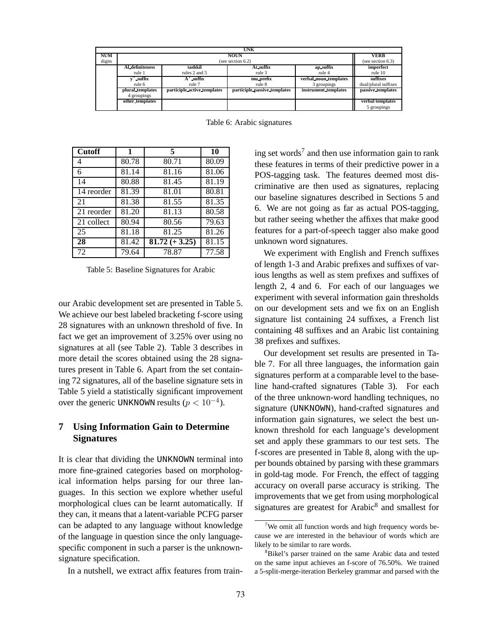|            | <b>UNK</b>          |                             |                              |                       |                      |  |  |  |  |  |
|------------|---------------------|-----------------------------|------------------------------|-----------------------|----------------------|--|--|--|--|--|
| <b>NUM</b> |                     |                             | <b>VERB</b>                  |                       |                      |  |  |  |  |  |
| digits     |                     |                             | (see section 6.2)            |                       | (see section $6.3$ ) |  |  |  |  |  |
|            | Al definiteness     | tashkil                     | At suffix                    | ap suffix             | imperfect            |  |  |  |  |  |
|            | rule 1              | rules 2 and 5               | rule 3                       | rule 4                | rule 10              |  |  |  |  |  |
|            | $\mathbf{v}$ suffix | $A'$ suffix                 | mu_prefix                    | verbal noun templates | suffixes             |  |  |  |  |  |
|            | rule 6              | rule 7                      | rule 8                       | 3 groupings           | dual/plural suffixes |  |  |  |  |  |
|            | plural templates    | participle active templates | participle passive templates | instrument templates  | passive templates    |  |  |  |  |  |
|            | 4 groupings         |                             |                              |                       |                      |  |  |  |  |  |
|            | other_templates     |                             |                              |                       | verbal templates     |  |  |  |  |  |
|            |                     |                             |                              |                       | 5 groupings          |  |  |  |  |  |

Table 6: Arabic signatures

| <b>Cutoff</b> | $\mathbf{1}$ | 5                | 10    |
|---------------|--------------|------------------|-------|
|               | 80.78        | 80.71            | 80.09 |
| 6             | 81.14        | 81.16            | 81.06 |
| 14            | 80.88        | 81.45            | 81.19 |
| 14 reorder    | 81.39        | 81.01            | 80.81 |
| 21            | 81.38        | 81.55            | 81.35 |
| 21 reorder    | 81.20        | 81.13            | 80.58 |
| 21 collect    | 80.94        | 80.56            | 79.63 |
| 25            | 81.18        | 81.25            | 81.26 |
| 28            | 81.42        | $81.72 (+ 3.25)$ | 81.15 |
| 72            | 79.64        | 78.87            | 77.58 |

Table 5: Baseline Signatures for Arabic

our Arabic development set are presented in Table 5. We achieve our best labeled bracketing f-score using 28 signatures with an unknown threshold of five. In fact we get an improvement of 3.25% over using no signatures at all (see Table 2). Table 3 describes in more detail the scores obtained using the 28 signatures present in Table 6. Apart from the set containing 72 signatures, all of the baseline signature sets in Table 5 yield a statistically significant improvement over the generic UNKNOWN results ( $p < 10^{-4}$ ).

# **7 Using Information Gain to Determine Signatures**

It is clear that dividing the UNKNOWN terminal into more fine-grained categories based on morphological information helps parsing for our three languages. In this section we explore whether useful morphological clues can be learnt automatically. If they can, it means that a latent-variable PCFG parser can be adapted to any language without knowledge of the language in question since the only languagespecific component in such a parser is the unknownsignature specification.

In a nutshell, we extract affix features from train-

ing set words<sup>7</sup> and then use information gain to rank these features in terms of their predictive power in a POS-tagging task. The features deemed most discriminative are then used as signatures, replacing our baseline signatures described in Sections 5 and 6. We are not going as far as actual POS-tagging, but rather seeing whether the affixes that make good features for a part-of-speech tagger also make good unknown word signatures.

We experiment with English and French suffixes of length 1-3 and Arabic prefixes and suffixes of various lengths as well as stem prefixes and suffixes of length 2, 4 and 6. For each of our languages we experiment with several information gain thresholds on our development sets and we fix on an English signature list containing 24 suffixes, a French list containing 48 suffixes and an Arabic list containing 38 prefixes and suffixes.

Our development set results are presented in Table 7. For all three languages, the information gain signatures perform at a comparable level to the baseline hand-crafted signatures (Table 3). For each of the three unknown-word handling techniques, no signature (UNKNOWN), hand-crafted signatures and information gain signatures, we select the best unknown threshold for each language's development set and apply these grammars to our test sets. The f-scores are presented in Table 8, along with the upper bounds obtained by parsing with these grammars in gold-tag mode. For French, the effect of tagging accuracy on overall parse accuracy is striking. The improvements that we get from using morphological signatures are greatest for Arabic<sup>8</sup> and smallest for

<sup>&</sup>lt;sup>7</sup>We omit all function words and high frequency words because we are interested in the behaviour of words which are likely to be similar to rare words.

<sup>&</sup>lt;sup>8</sup>Bikel's parser trained on the same Arabic data and tested on the same input achieves an f-score of 76.50%. We trained a 5-split-merge-iteration Berkeley grammar and parsed with the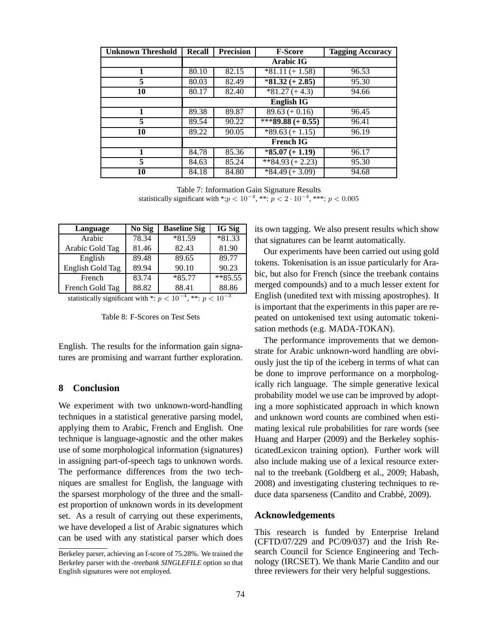| <b>Unknown Threshold</b> | <b>Recall</b> | <b>Precision</b> | <b>F-Score</b>             | <b>Tagging Accuracy</b> |
|--------------------------|---------------|------------------|----------------------------|-------------------------|
|                          |               |                  | <b>Arabic IG</b>           |                         |
|                          | 80.10         | 82.15            | $*81.11 (+ 1.58)$          | 96.53                   |
| 5                        | 80.03         | 82.49            | $*81.32 (+ 2.85)$          | 95.30                   |
| 10                       | 80.17         | 82.40            | $*81.27 (+ 4.3)$           | 94.66                   |
|                          |               |                  | <b>English IG</b>          |                         |
|                          | 89.38         | 89.87            | $89.63 (+ 0.16)$           | 96.45                   |
| 5                        | 89.54         | 90.22            | $\sqrt{***89.88} (+ 0.55)$ | 96.41                   |
| 10                       | 89.22         | 90.05            | $\overline{$89.63 + 1.15}$ | 96.19                   |
|                          |               |                  | <b>French IG</b>           |                         |
|                          | 84.78         | 85.36            | $*85.07 (+ 1.19)$          | 96.17                   |
| 5                        | 84.63         | 85.24            | $\sqrt{$*84.93 + 2.23}$    | 95.30                   |
| 10                       | 84.18         | 84.80            | $*84.49 (+ 3.09)$          | 94.68                   |

Table 7: Information Gain Signature Results statistically significant with \*: $p < 10^{-4}$ , \*\*:  $p < 2 \cdot 10^{-4}$ , \*\*\*:  $p < 0.005$ 

| Language         | No Sig | <b>Baseline Sig</b> | IG Sig   |
|------------------|--------|---------------------|----------|
| Arabic           | 78.34  | *81.59              | $*81.33$ |
| Arabic Gold Tag  | 81.46  | 82.43               | 81.90    |
| English          | 89.48  | 89.65               | 89.77    |
| English Gold Tag | 89.94  | 90.10               | 90.23    |
| French           | 83.74  | $*85.77$            | $*85.55$ |
| French Gold Tag  | 88.82  | 88.41               | 88.86    |

statistically significant with \*:  $p < 10^{-4}$ , \*\*:  $p < 10^{-3}$ 

Table 8: F-Scores on Test Sets

English. The results for the information gain signatures are promising and warrant further exploration.

# **8 Conclusion**

We experiment with two unknown-word-handling techniques in a statistical generative parsing model, applying them to Arabic, French and English. One technique is language-agnostic and the other makes use of some morphological information (signatures) in assigning part-of-speech tags to unknown words. The performance differences from the two techniques are smallest for English, the language with the sparsest morphology of the three and the smallest proportion of unknown words in its development set. As a result of carrying out these experiments, we have developed a list of Arabic signatures which can be used with any statistical parser which does

its own tagging. We also present results which show that signatures can be learnt automatically.

Our experiments have been carried out using gold tokens. Tokenisation is an issue particularly for Arabic, but also for French (since the treebank contains merged compounds) and to a much lesser extent for English (unedited text with missing apostrophes). It is important that the experiments in this paper are repeated on untokenised text using automatic tokenisation methods (e.g. MADA-TOKAN).

The performance improvements that we demonstrate for Arabic unknown-word handling are obviously just the tip of the iceberg in terms of what can be done to improve performance on a morphologically rich language. The simple generative lexical probability model we use can be improved by adopting a more sophisticated approach in which known and unknown word counts are combined when estimating lexical rule probabilities for rare words (see Huang and Harper (2009) and the Berkeley sophisticatedLexicon training option). Further work will also include making use of a lexical resource external to the treebank (Goldberg et al., 2009; Habash, 2008) and investigating clustering techniques to reduce data sparseness (Candito and Crabbé, 2009).

## **Acknowledgements**

This research is funded by Enterprise Ireland (CFTD/07/229 and PC/09/037) and the Irish Research Council for Science Engineering and Technology (IRCSET). We thank Marie Candito and our three reviewers for their very helpful suggestions.

Berkeley parser, achieving an f-score of 75.28%. We trained the Berkeley parser with the *-treebank SINGLEFILE* option so that English signatures were not employed.